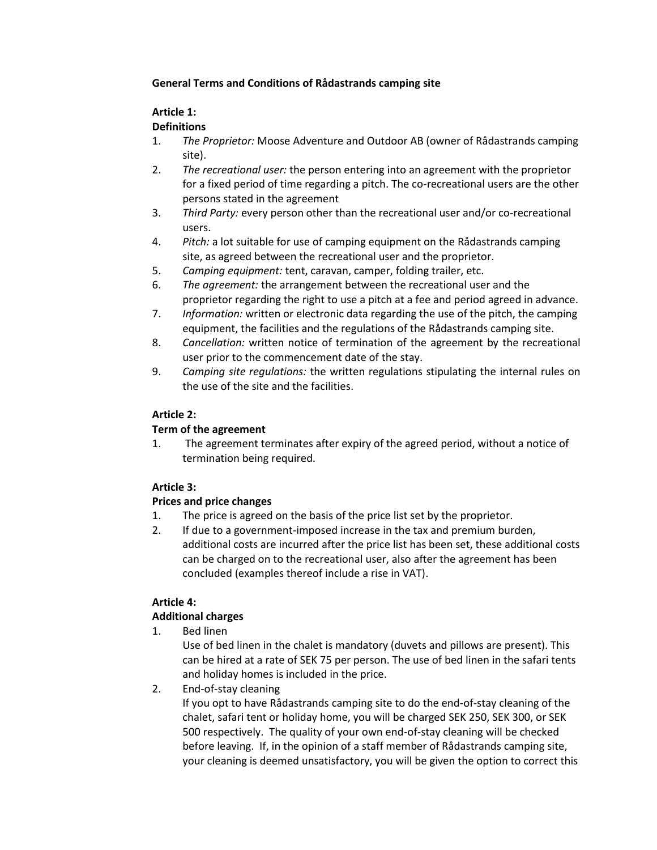### **General Terms and Conditions of Rådastrands camping site**

### **Article 1:**

### **Definitions**

- 1. *The Proprietor:* Moose Adventure and Outdoor AB (owner of Rådastrands camping site).
- 2. *The recreational user:* the person entering into an agreement with the proprietor for a fixed period of time regarding a pitch. The co-recreational users are the other persons stated in the agreement
- 3. *Third Party:* every person other than the recreational user and/or co-recreational users.
- 4. *Pitch:* a lot suitable for use of camping equipment on the Rådastrands camping site, as agreed between the recreational user and the proprietor.
- 5. *Camping equipment:* tent, caravan, camper, folding trailer, etc.
- 6. *The agreement:* the arrangement between the recreational user and the proprietor regarding the right to use a pitch at a fee and period agreed in advance.
- 7. *Information:* written or electronic data regarding the use of the pitch, the camping equipment, the facilities and the regulations of the Rådastrands camping site.
- 8. *Cancellation:* written notice of termination of the agreement by the recreational user prior to the commencement date of the stay.
- 9. *Camping site regulations:* the written regulations stipulating the internal rules on the use of the site and the facilities.

### **Article 2:**

### **Term of the agreement**

1. The agreement terminates after expiry of the agreed period, without a notice of termination being required.

### **Article 3:**

### **Prices and price changes**

- 1. The price is agreed on the basis of the price list set by the proprietor.
- 2. If due to a government-imposed increase in the tax and premium burden, additional costs are incurred after the price list has been set, these additional costs can be charged on to the recreational user, also after the agreement has been concluded (examples thereof include a rise in VAT).

# **Article 4:**

# **Additional charges**

1. Bed linen

Use of bed linen in the chalet is mandatory (duvets and pillows are present). This can be hired at a rate of SEK 75 per person. The use of bed linen in the safari tents and holiday homes is included in the price.

2. End-of-stay cleaning

If you opt to have Rådastrands camping site to do the end-of-stay cleaning of the chalet, safari tent or holiday home, you will be charged SEK 250, SEK 300, or SEK 500 respectively. The quality of your own end-of-stay cleaning will be checked before leaving. If, in the opinion of a staff member of Rådastrands camping site, your cleaning is deemed unsatisfactory, you will be given the option to correct this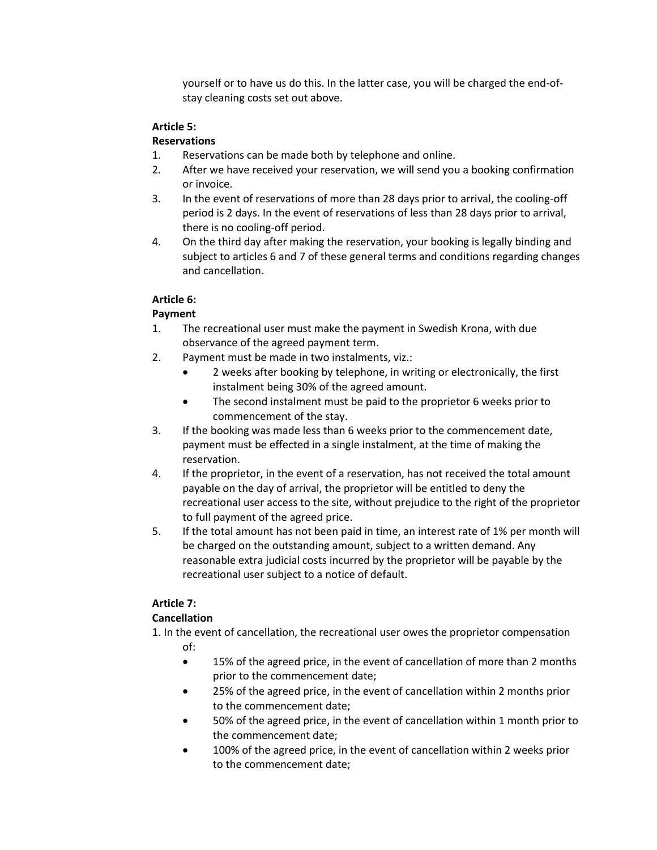yourself or to have us do this. In the latter case, you will be charged the end-ofstay cleaning costs set out above.

### **Article 5:**

### **Reservations**

- 1. Reservations can be made both by telephone and online.
- 2. After we have received your reservation, we will send you a booking confirmation or invoice.
- 3. In the event of reservations of more than 28 days prior to arrival, the cooling-off period is 2 days. In the event of reservations of less than 28 days prior to arrival, there is no cooling-off period.
- 4. On the third day after making the reservation, your booking is legally binding and subject to articles 6 and 7 of these general terms and conditions regarding changes and cancellation.

### **Article 6:**

# **Payment**

- 1. The recreational user must make the payment in Swedish Krona, with due observance of the agreed payment term.
- 2. Payment must be made in two instalments, viz.:
	- 2 weeks after booking by telephone, in writing or electronically, the first instalment being 30% of the agreed amount.
	- The second instalment must be paid to the proprietor 6 weeks prior to commencement of the stay.
- 3. If the booking was made less than 6 weeks prior to the commencement date, payment must be effected in a single instalment, at the time of making the reservation.
- 4. If the proprietor, in the event of a reservation, has not received the total amount payable on the day of arrival, the proprietor will be entitled to deny the recreational user access to the site, without prejudice to the right of the proprietor to full payment of the agreed price.
- 5. If the total amount has not been paid in time, an interest rate of 1% per month will be charged on the outstanding amount, subject to a written demand. Any reasonable extra judicial costs incurred by the proprietor will be payable by the recreational user subject to a notice of default.

# **Article 7:**

# **Cancellation**

- 1. In the event of cancellation, the recreational user owes the proprietor compensation of:
	- 15% of the agreed price, in the event of cancellation of more than 2 months prior to the commencement date;
	- 25% of the agreed price, in the event of cancellation within 2 months prior to the commencement date;
	- 50% of the agreed price, in the event of cancellation within 1 month prior to the commencement date;
	- 100% of the agreed price, in the event of cancellation within 2 weeks prior to the commencement date;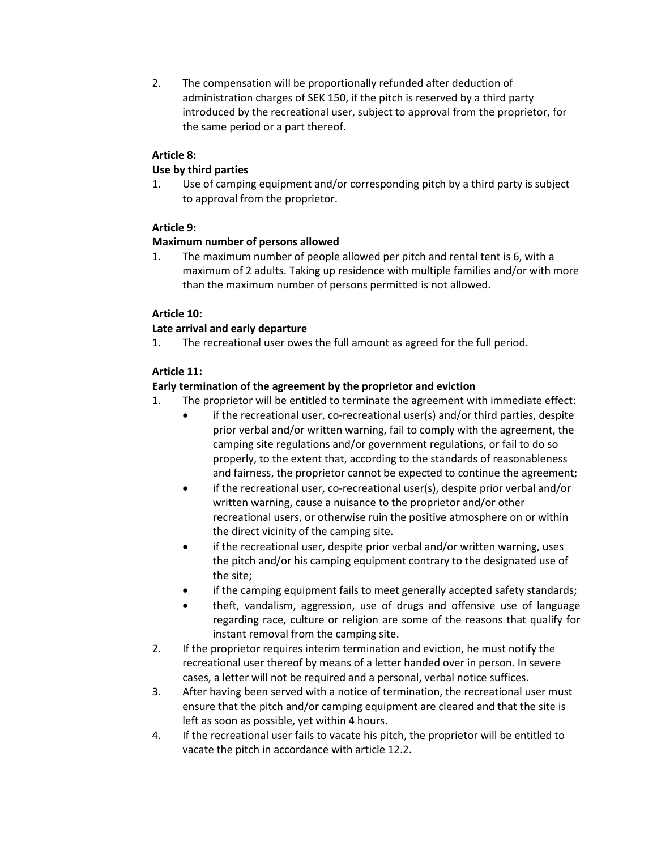2. The compensation will be proportionally refunded after deduction of administration charges of SEK 150, if the pitch is reserved by a third party introduced by the recreational user, subject to approval from the proprietor, for the same period or a part thereof.

### **Article 8:**

### **Use by third parties**

1. Use of camping equipment and/or corresponding pitch by a third party is subject to approval from the proprietor.

### **Article 9:**

#### **Maximum number of persons allowed**

1. The maximum number of people allowed per pitch and rental tent is 6, with a maximum of 2 adults. Taking up residence with multiple families and/or with more than the maximum number of persons permitted is not allowed.

#### **Article 10:**

#### **Late arrival and early departure**

1. The recreational user owes the full amount as agreed for the full period.

#### **Article 11:**

#### **Early termination of the agreement by the proprietor and eviction**

- 1. The proprietor will be entitled to terminate the agreement with immediate effect:
	- if the recreational user, co-recreational user(s) and/or third parties, despite prior verbal and/or written warning, fail to comply with the agreement, the camping site regulations and/or government regulations, or fail to do so properly, to the extent that, according to the standards of reasonableness and fairness, the proprietor cannot be expected to continue the agreement;
	- if the recreational user, co-recreational user(s), despite prior verbal and/or written warning, cause a nuisance to the proprietor and/or other recreational users, or otherwise ruin the positive atmosphere on or within the direct vicinity of the camping site.
	- if the recreational user, despite prior verbal and/or written warning, uses the pitch and/or his camping equipment contrary to the designated use of the site;
	- if the camping equipment fails to meet generally accepted safety standards;
	- theft, vandalism, aggression, use of drugs and offensive use of language regarding race, culture or religion are some of the reasons that qualify for instant removal from the camping site.
- 2. If the proprietor requires interim termination and eviction, he must notify the recreational user thereof by means of a letter handed over in person. In severe cases, a letter will not be required and a personal, verbal notice suffices.
- 3. After having been served with a notice of termination, the recreational user must ensure that the pitch and/or camping equipment are cleared and that the site is left as soon as possible, yet within 4 hours.
- 4. If the recreational user fails to vacate his pitch, the proprietor will be entitled to vacate the pitch in accordance with article 12.2.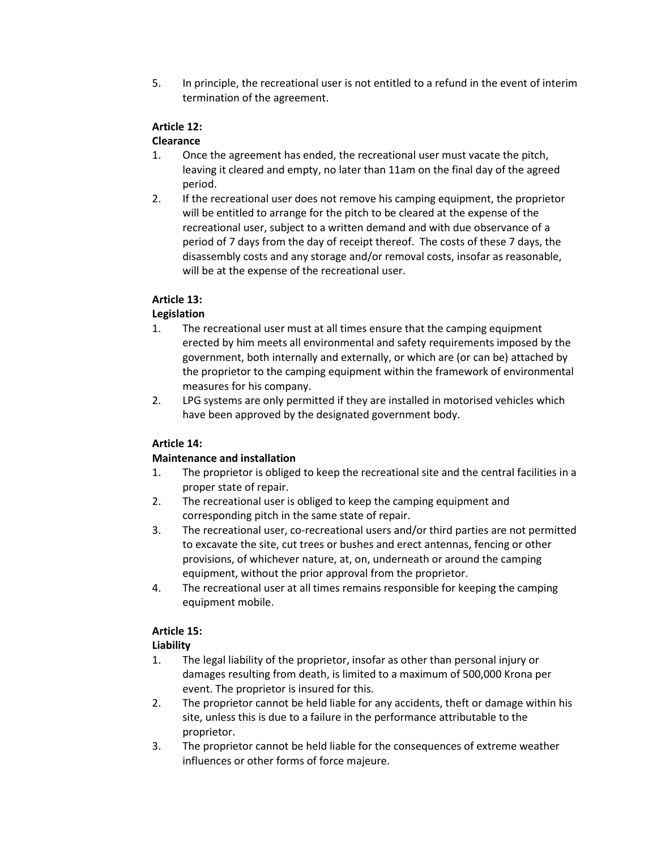5. In principle, the recreational user is not entitled to a refund in the event of interim termination of the agreement.

### **Article 12:**

### **Clearance**

- 1. Once the agreement has ended, the recreational user must vacate the pitch, leaving it cleared and empty, no later than 11am on the final day of the agreed period.
- 2. If the recreational user does not remove his camping equipment, the proprietor will be entitled to arrange for the pitch to be cleared at the expense of the recreational user, subject to a written demand and with due observance of a period of 7 days from the day of receipt thereof. The costs of these 7 days, the disassembly costs and any storage and/or removal costs, insofar as reasonable, will be at the expense of the recreational user.

### **Article 13:**

### **Legislation**

- 1. The recreational user must at all times ensure that the camping equipment erected by him meets all environmental and safety requirements imposed by the government, both internally and externally, or which are (or can be) attached by the proprietor to the camping equipment within the framework of environmental measures for his company.
- 2. LPG systems are only permitted if they are installed in motorised vehicles which have been approved by the designated government body.

# **Article 14:**

### **Maintenance and installation**

- 1. The proprietor is obliged to keep the recreational site and the central facilities in a proper state of repair.
- 2. The recreational user is obliged to keep the camping equipment and corresponding pitch in the same state of repair.
- 3. The recreational user, co-recreational users and/or third parties are not permitted to excavate the site, cut trees or bushes and erect antennas, fencing or other provisions, of whichever nature, at, on, underneath or around the camping equipment, without the prior approval from the proprietor.
- 4. The recreational user at all times remains responsible for keeping the camping equipment mobile.

### **Article 15:**

# **Liability**

- 1. The legal liability of the proprietor, insofar as other than personal injury or damages resulting from death, is limited to a maximum of 500,000 Krona per event. The proprietor is insured for this.
- 2. The proprietor cannot be held liable for any accidents, theft or damage within his site, unless this is due to a failure in the performance attributable to the proprietor.
- 3. The proprietor cannot be held liable for the consequences of extreme weather influences or other forms of force majeure.